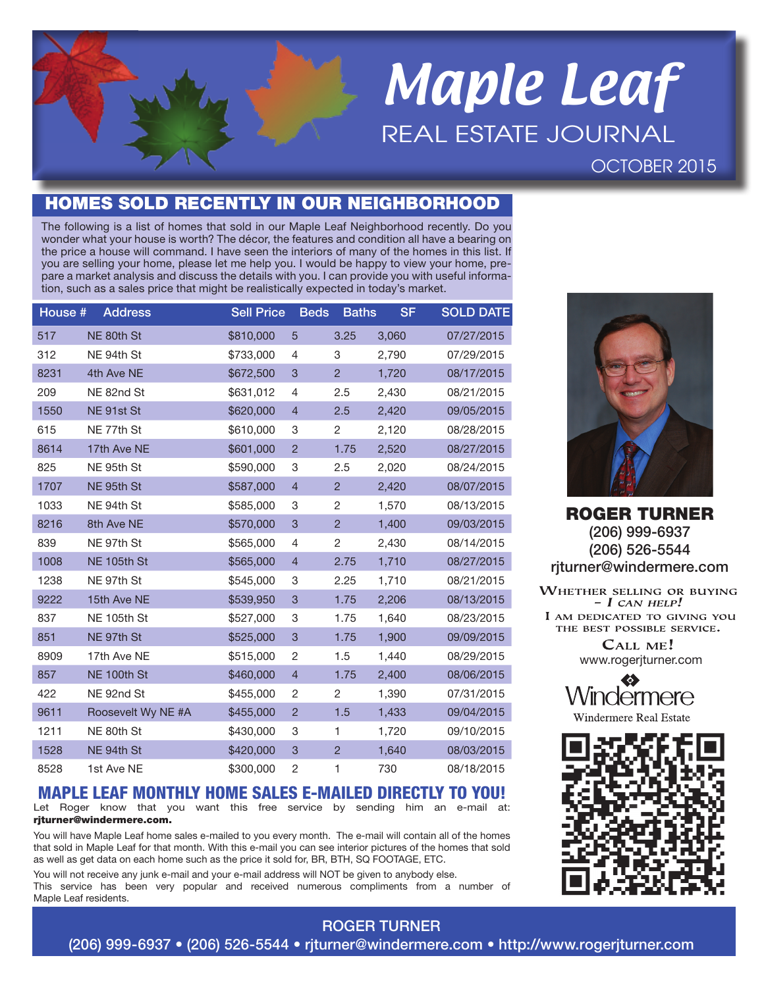# Maple Leaf REAL ESTATE JOURNAL OCTOBER 2015

## HOMES SOLD RECENTLY IN OUR NEIGHBORHOOD

The following is a list of homes that sold in our Maple Leaf Neighborhood recently. Do you wonder what your house is worth? The décor, the features and condition all have a bearing on the price a house will command. I have seen the interiors of many of the homes in this list. If you are selling your home, please let me help you. I would be happy to view your home, prepare a market analysis and discuss the details with you. I can provide you with useful information, such as a sales price that might be realistically expected in today's market.

| House # | <b>Address</b>     | <b>Sell Price</b> | <b>Beds</b>    | <b>Baths</b>   | <b>SF</b> | <b>SOLD DATE</b> |
|---------|--------------------|-------------------|----------------|----------------|-----------|------------------|
| 517     | NE 80th St         | \$810,000         | 5              | 3.25           | 3,060     | 07/27/2015       |
| 312     | NE 94th St         | \$733,000         | 4              | 3              | 2,790     | 07/29/2015       |
| 8231    | 4th Ave NE         | \$672,500         | 3              | $\overline{c}$ | 1,720     | 08/17/2015       |
| 209     | NE 82nd St         | \$631,012         | 4              | 2.5            | 2,430     | 08/21/2015       |
| 1550    | NE 91st St         | \$620,000         | $\overline{4}$ | 2.5            | 2,420     | 09/05/2015       |
| 615     | NE 77th St         | \$610,000         | 3              | 2              | 2,120     | 08/28/2015       |
| 8614    | 17th Ave NE        | \$601,000         | $\overline{2}$ | 1.75           | 2,520     | 08/27/2015       |
| 825     | NE 95th St         | \$590,000         | 3              | 2.5            | 2,020     | 08/24/2015       |
| 1707    | NE 95th St         | \$587,000         | $\overline{4}$ | $\overline{2}$ | 2,420     | 08/07/2015       |
| 1033    | NE 94th St         | \$585,000         | 3              | 2              | 1,570     | 08/13/2015       |
| 8216    | 8th Ave NE         | \$570,000         | 3              | $\overline{2}$ | 1,400     | 09/03/2015       |
| 839     | NE 97th St         | \$565,000         | 4              | 2              | 2,430     | 08/14/2015       |
| 1008    | NE 105th St        | \$565,000         | $\overline{4}$ | 2.75           | 1,710     | 08/27/2015       |
| 1238    | NE 97th St         | \$545,000         | 3              | 2.25           | 1,710     | 08/21/2015       |
| 9222    | 15th Ave NE        | \$539,950         | 3              | 1.75           | 2,206     | 08/13/2015       |
| 837     | NE 105th St        | \$527,000         | 3              | 1.75           | 1,640     | 08/23/2015       |
| 851     | NE 97th St         | \$525,000         | 3              | 1.75           | 1,900     | 09/09/2015       |
| 8909    | 17th Ave NE        | \$515,000         | $\overline{c}$ | 1.5            | 1,440     | 08/29/2015       |
| 857     | NE 100th St        | \$460,000         | $\overline{4}$ | 1.75           | 2,400     | 08/06/2015       |
| 422     | NE 92nd St         | \$455,000         | 2              | 2              | 1,390     | 07/31/2015       |
| 9611    | Roosevelt Wy NE #A | \$455,000         | $\overline{c}$ | 1.5            | 1,433     | 09/04/2015       |
| 1211    | NE 80th St         | \$430,000         | 3              | 1              | 1,720     | 09/10/2015       |
| 1528    | NE 94th St         | \$420,000         | 3              | $\overline{2}$ | 1,640     | 08/03/2015       |
| 8528    | 1st Ave NE         | \$300,000         | 2              | 1              | 730       | 08/18/2015       |

## MAPLE LEAF MONTHLY HOME SALES E-MAILED DIRECTLY TO YOU!

Let Roger know that you want this free service by sending him an e-mail at: riturner@windermere.com.

You will have Maple Leaf home sales e-mailed to you every month. The e-mail will contain all of the homes that sold in Maple Leaf for that month. With this e-mail you can see interior pictures of the homes that sold as well as get data on each home such as the price it sold for, BR, BTH, SQ FOOTAGE, ETC.

You will not receive any junk e-mail and your e-mail address will NOT be given to anybody else. This service has been very popular and received numerous compliments from a number of Maple Leaf residents.



ROGER TURNER (206) 999-6937 (206) 526-5544 rjturner@windermere.com

**WHETHER SELLING OR BUYING**  $- I$  CAN HELP! I AM DEDICATED TO GIVING YOU THE BEST POSSIBLE SERVICE. CALL ME! www.rogerjturner.com





### ROGER TURNER

(206) 999-6937 • (206) 526-5544 • rjturner@windermere.com • http://www.rogerjturner.com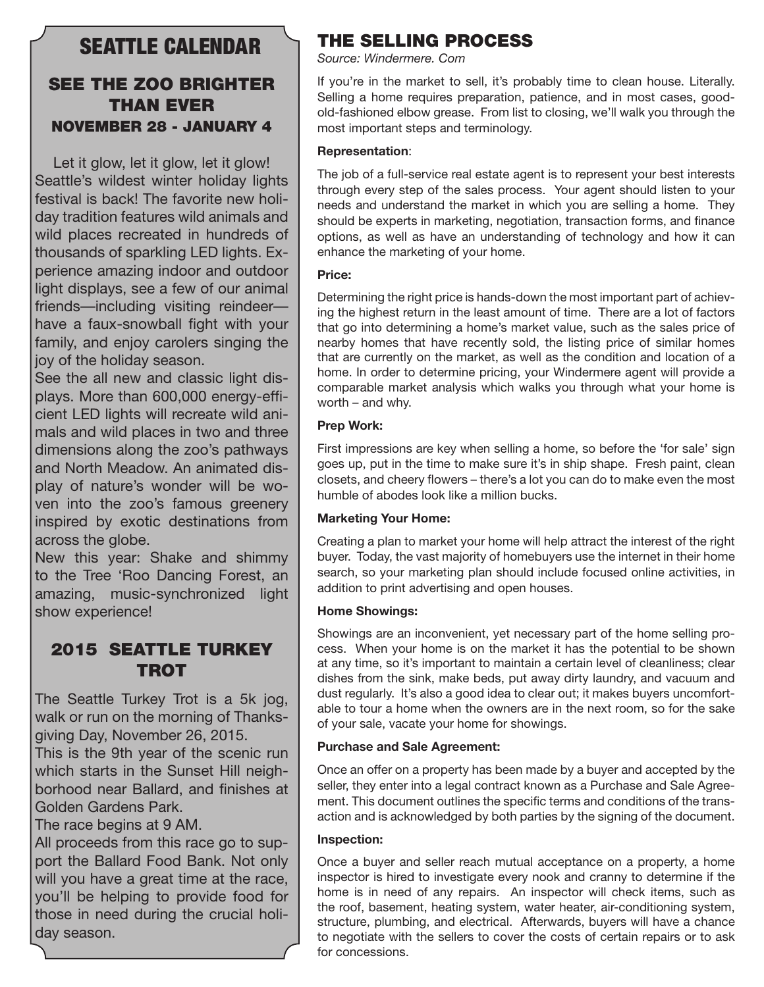## SEATTLE CALENDAR

## SEE THE ZOO BRIGHTER THAN EVER NOVEMBER 28 - JANUARY 4

Let it glow, let it glow, let it glow! Seattle's wildest winter holiday lights festival is back! The favorite new holiday tradition features wild animals and wild places recreated in hundreds of thousands of sparkling LED lights. Experience amazing indoor and outdoor light displays, see a few of our animal friends—including visiting reindeer have a faux-snowball fight with your family, and enjoy carolers singing the joy of the holiday season.

See the all new and classic light displays. More than 600,000 energy-efficient LED lights will recreate wild animals and wild places in two and three dimensions along the zoo's pathways and North Meadow. An animated display of nature's wonder will be woven into the zoo's famous greenery inspired by exotic destinations from across the globe.

New this year: Shake and shimmy to the Tree 'Roo Dancing Forest, an amazing, music-synchronized light show experience!

## 2015 SEATTLE TURKEY **TROT**

The Seattle Turkey Trot is a 5k jog, walk or run on the morning of Thanksgiving Day, November 26, 2015.

This is the 9th year of the scenic run which starts in the Sunset Hill neighborhood near Ballard, and finishes at Golden Gardens Park.

The race begins at 9 AM.

All proceeds from this race go to support the Ballard Food Bank. Not only will you have a great time at the race, you'll be helping to provide food for those in need during the crucial holiday season.

## THE SELLING PROCESS

*Source: Windermere. Com*

If you're in the market to sell, it's probably time to clean house. Literally. Selling a home requires preparation, patience, and in most cases, goodold-fashioned elbow grease. From list to closing, we'll walk you through the most important steps and terminology.

#### **Representation**:

The job of a full-service real estate agent is to represent your best interests through every step of the sales process. Your agent should listen to your needs and understand the market in which you are selling a home. They should be experts in marketing, negotiation, transaction forms, and finance options, as well as have an understanding of technology and how it can enhance the marketing of your home.

#### **Price:**

Determining the right price is hands-down the most important part of achieving the highest return in the least amount of time. There are a lot of factors that go into determining a home's market value, such as the sales price of nearby homes that have recently sold, the listing price of similar homes that are currently on the market, as well as the condition and location of a home. In order to determine pricing, your Windermere agent will provide a comparable market analysis which walks you through what your home is worth – and why.

#### **Prep Work:**

First impressions are key when selling a home, so before the 'for sale' sign goes up, put in the time to make sure it's in ship shape. Fresh paint, clean closets, and cheery flowers – there's a lot you can do to make even the most humble of abodes look like a million bucks.

#### **Marketing Your Home:**

Creating a plan to market your home will help attract the interest of the right buyer. Today, the vast majority of homebuyers use the internet in their home search, so your marketing plan should include focused online activities, in addition to print advertising and open houses.

#### **Home Showings:**

Showings are an inconvenient, yet necessary part of the home selling process. When your home is on the market it has the potential to be shown at any time, so it's important to maintain a certain level of cleanliness; clear dishes from the sink, make beds, put away dirty laundry, and vacuum and dust regularly. It's also a good idea to clear out; it makes buyers uncomfortable to tour a home when the owners are in the next room, so for the sake of your sale, vacate your home for showings.

#### **Purchase and Sale Agreement:**

Once an offer on a property has been made by a buyer and accepted by the seller, they enter into a legal contract known as a Purchase and Sale Agreement. This document outlines the specific terms and conditions of the transaction and is acknowledged by both parties by the signing of the document.

#### **Inspection:**

Once a buyer and seller reach mutual acceptance on a property, a home inspector is hired to investigate every nook and cranny to determine if the home is in need of any repairs. An inspector will check items, such as the roof, basement, heating system, water heater, air-conditioning system, structure, plumbing, and electrical. Afterwards, buyers will have a chance to negotiate with the sellers to cover the costs of certain repairs or to ask for concessions.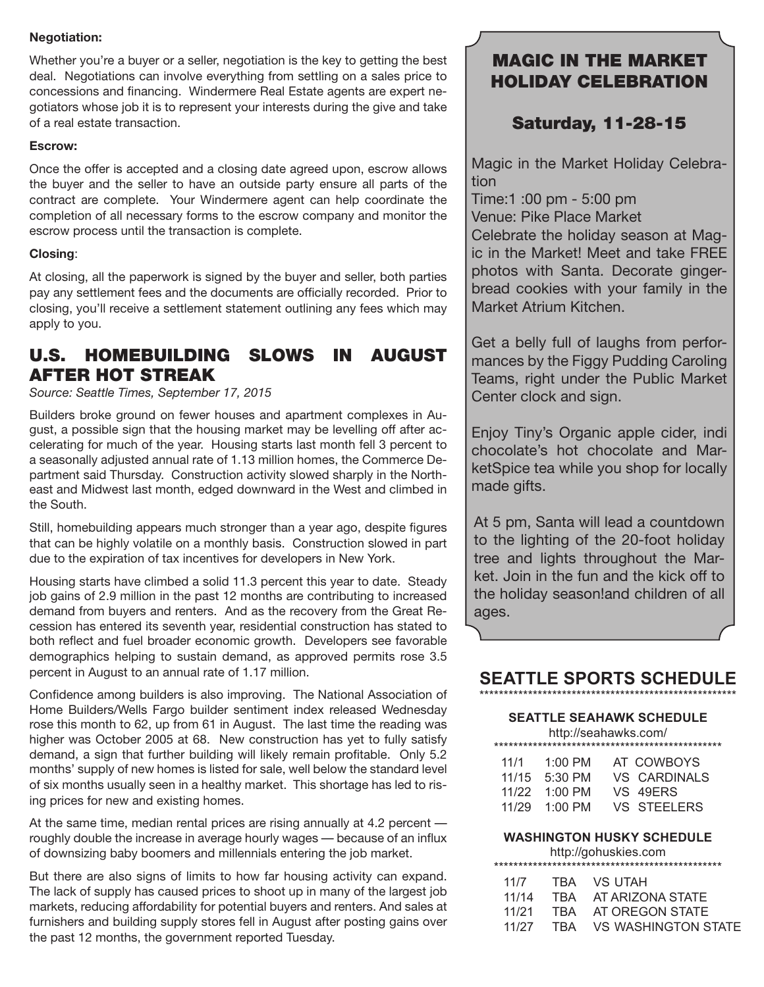#### **Negotiation:**

Whether you're a buyer or a seller, negotiation is the key to getting the best deal. Negotiations can involve everything from settling on a sales price to concessions and financing. Windermere Real Estate agents are expert negotiators whose job it is to represent your interests during the give and take of a real estate transaction.

#### **Escrow:**

Once the offer is accepted and a closing date agreed upon, escrow allows the buyer and the seller to have an outside party ensure all parts of the contract are complete. Your Windermere agent can help coordinate the completion of all necessary forms to the escrow company and monitor the escrow process until the transaction is complete.

#### **Closing**:

At closing, all the paperwork is signed by the buyer and seller, both parties pay any settlement fees and the documents are officially recorded. Prior to closing, you'll receive a settlement statement outlining any fees which may apply to you.

## U.S. HOMEBUILDING SLOWS IN AUGUST AFTER HOT STREAK

*Source: Seattle Times, September 17, 2015*

Builders broke ground on fewer houses and apartment complexes in August, a possible sign that the housing market may be levelling off after accelerating for much of the year. Housing starts last month fell 3 percent to a seasonally adjusted annual rate of 1.13 million homes, the Commerce Department said Thursday. Construction activity slowed sharply in the Northeast and Midwest last month, edged downward in the West and climbed in the South.

Still, homebuilding appears much stronger than a year ago, despite figures that can be highly volatile on a monthly basis. Construction slowed in part due to the expiration of tax incentives for developers in New York.

Housing starts have climbed a solid 11.3 percent this year to date. Steady job gains of 2.9 million in the past 12 months are contributing to increased demand from buyers and renters. And as the recovery from the Great Recession has entered its seventh year, residential construction has stated to both reflect and fuel broader economic growth. Developers see favorable demographics helping to sustain demand, as approved permits rose 3.5 percent in August to an annual rate of 1.17 million.

Confidence among builders is also improving. The National Association of Home Builders/Wells Fargo builder sentiment index released Wednesday rose this month to 62, up from 61 in August. The last time the reading was higher was October 2005 at 68. New construction has yet to fully satisfy demand, a sign that further building will likely remain profitable. Only 5.2 months' supply of new homes is listed for sale, well below the standard level of six months usually seen in a healthy market. This shortage has led to rising prices for new and existing homes.

At the same time, median rental prices are rising annually at 4.2 percent roughly double the increase in average hourly wages — because of an influx of downsizing baby boomers and millennials entering the job market.

But there are also signs of limits to how far housing activity can expand. The lack of supply has caused prices to shoot up in many of the largest job markets, reducing affordability for potential buyers and renters. And sales at furnishers and building supply stores fell in August after posting gains over the past 12 months, the government reported Tuesday.

## MAGIC IN THE MARKET HOLIDAY CELEBRATION

## Saturday, 11-28-15

Magic in the Market Holiday Celebration

Time:1 :00 pm - 5:00 pm Venue: Pike Place Market

Celebrate the holiday season at Magic in the Market! Meet and take FREE photos with Santa. Decorate gingerbread cookies with your family in the Market Atrium Kitchen.

Get a belly full of laughs from performances by the Figgy Pudding Caroling Teams, right under the Public Market Center clock and sign.

Enjoy Tiny's Organic apple cider, indi chocolate's hot chocolate and MarketSpice tea while you shop for locally made gifts.

At 5 pm, Santa will lead a countdown to the lighting of the 20-foot holiday tree and lights throughout the Market. Join in the fun and the kick off to the holiday season!and children of all ages.

#### **SEATTLE SPORTS SCHEDULE** \*\*\*\*\*\*\*\*\*\*\*\*\*\*\*\*\*\*\*\*\*\*\*\*\*\*\*\*\*\*\*\*\*\*\*\*\*\*\*\*\*\*\*\*\*\*\*\*\*\*\*\*\*

#### **SEATTLE SEAHAWK SCHEDULE**

http://seahawks.com/

| 11/1  | $1:00$ PM       | AT COWBOYS         |
|-------|-----------------|--------------------|
| 11/15 | 5:30 PM         | VS CARDINALS       |
|       | $11/22$ 1:00 PM | VS 49ERS           |
|       | $11/29$ 1:00 PM | <b>VS STEELERS</b> |
|       |                 |                    |

#### **WASHINGTON HUSKY SCHEDULE**

http://gohuskies.com \*\*\*\*\*\*\*\*\*\*\*\*\*\*\*\*\*\*\*\*\*\*\*\*\*\*\*\*\*\*\*\*\*\*\*\*\*\*\*\*\*\*\*\*\*\*\* 11/7 TBA VS UTAH 11/14 TBA AT ARIZONA STATE

|       |     | I DA AI ANLUITAUTAI L |
|-------|-----|-----------------------|
| 11/21 |     | TBA AT OREGON STATE   |
| 11/27 | TBA | VS WASHINGTON STATE   |